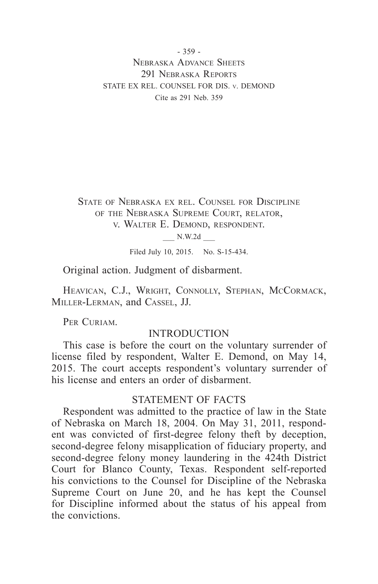- 359 - Nebraska Advance Sheets 291 NEBRASKA REPORTS STATE EX REL. COUNSEL FOR DIS. v. DEMOND Cite as 291 Neb. 359

State of Nebraska ex rel. Counsel for Discipline of the Nebraska Supreme Court, relator, v. Walter E. Demond, respondent.

\_\_\_ N.W.2d \_\_\_

Filed July 10, 2015. No. S-15-434.

Original action. Judgment of disbarment.

HEAVICAN, C.J., WRIGHT, CONNOLLY, STEPHAN, MCCORMACK, Miller-Lerman, and Cassel, JJ.

PER CURIAM.

## INTRODUCTION

This case is before the court on the voluntary surrender of license filed by respondent, Walter E. Demond, on May 14, 2015. The court accepts respondent's voluntary surrender of his license and enters an order of disbarment.

### STATEMENT OF FACTS

Respondent was admitted to the practice of law in the State of Nebraska on March 18, 2004. On May 31, 2011, respondent was convicted of first-degree felony theft by deception, second-degree felony misapplication of fiduciary property, and second-degree felony money laundering in the 424th District Court for Blanco County, Texas. Respondent self-reported his convictions to the Counsel for Discipline of the Nebraska Supreme Court on June 20, and he has kept the Counsel for Discipline informed about the status of his appeal from the convictions.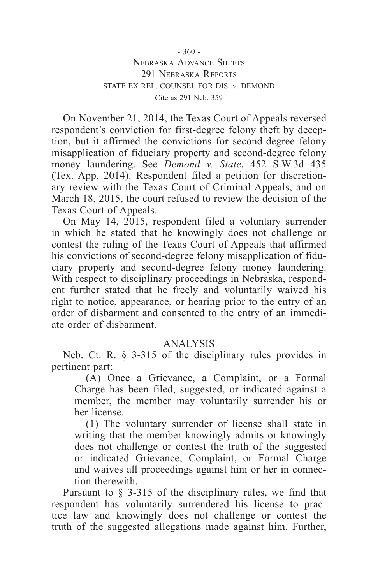# - 360 - Nebraska Advance Sheets 291 NEBRASKA REPORTS STATE EX REL. COUNSEL FOR DIS. v. DEMOND Cite as 291 Neb. 359

On November 21, 2014, the Texas Court of Appeals reversed respondent's conviction for first-degree felony theft by deception, but it affirmed the convictions for second-degree felony misapplication of fiduciary property and second-degree felony money laundering. See *Demond v. State*, 452 S.W.3d 435 (Tex. App. 2014). Respondent filed a petition for discretionary review with the Texas Court of Criminal Appeals, and on March 18, 2015, the court refused to review the decision of the Texas Court of Appeals.

On May 14, 2015, respondent filed a voluntary surrender in which he stated that he knowingly does not challenge or contest the ruling of the Texas Court of Appeals that affirmed his convictions of second-degree felony misapplication of fiduciary property and second-degree felony money laundering. With respect to disciplinary proceedings in Nebraska, respondent further stated that he freely and voluntarily waived his right to notice, appearance, or hearing prior to the entry of an order of disbarment and consented to the entry of an immediate order of disbarment.

# ANALYSIS

Neb. Ct. R. § 3-315 of the disciplinary rules provides in pertinent part:

(A) Once a Grievance, a Complaint, or a Formal Charge has been filed, suggested, or indicated against a member, the member may voluntarily surrender his or her license.

(1) The voluntary surrender of license shall state in writing that the member knowingly admits or knowingly does not challenge or contest the truth of the suggested or indicated Grievance, Complaint, or Formal Charge and waives all proceedings against him or her in connection therewith.

Pursuant to § 3-315 of the disciplinary rules, we find that respondent has voluntarily surrendered his license to practice law and knowingly does not challenge or contest the truth of the suggested allegations made against him. Further,